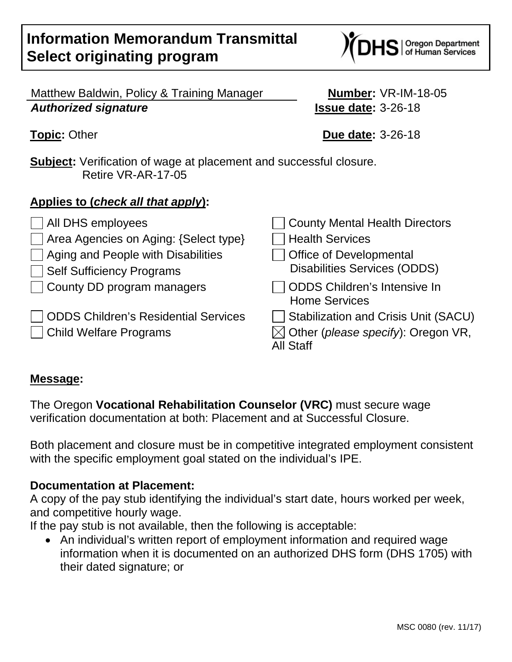# **Information Memorandum Transmittal Select originating program**

Matthew Baldwin, Policy & Training Manager **Number:** VR-IM-18-05 *Authorized signature* **Issue date:** 3-26-18

**Subject:** Verification of wage at placement and successful closure. Retire VR-AR-17-05

## **Applies to (***check all that apply***):**

△ All DHS employees △ County Mental Health Directors  $\Box$  Area Agencies on Aging: {Select type}  $\Box$  Health Services  $\Box$  Aging and People with Disabilities  $\Box$  Office of Developmental Self Sufficiency Programs Disabilities Services (ODDS)  $\Box$  County DD program managers  $\Box$  ODDS Children's Intensive In Home Services ODDS Children's Residential Services  $\Box$  Stabilization and Crisis Unit (SACU) Child Welfare Programs  $\boxtimes$  Other (*please specify*): Oregon VR, All Staff

### **Message:**

The Oregon **Vocational Rehabilitation Counselor (VRC)** must secure wage verification documentation at both: Placement and at Successful Closure.

Both placement and closure must be in competitive integrated employment consistent with the specific employment goal stated on the individual's IPE.

### **Documentation at Placement:**

A copy of the pay stub identifying the individual's start date, hours worked per week, and competitive hourly wage.

If the pay stub is not available, then the following is acceptable:

• An individual's written report of employment information and required wage information when it is documented on an authorized DHS form (DHS 1705) with their dated signature; or

**Topic:** Other **Due date:** 3-26-18

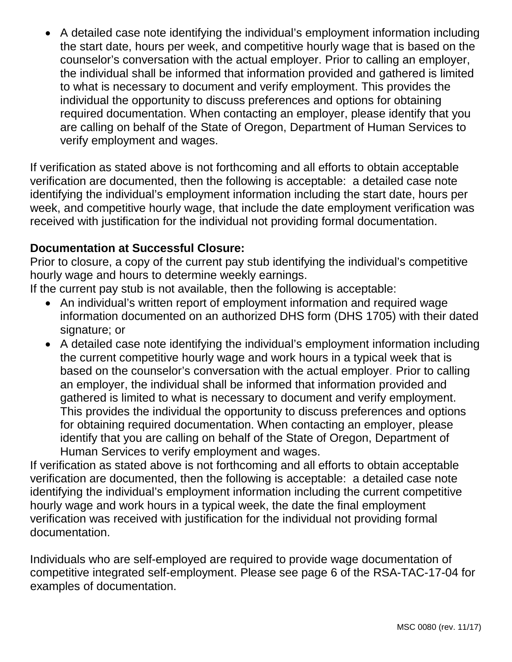• A detailed case note identifying the individual's employment information including the start date, hours per week, and competitive hourly wage that is based on the counselor's conversation with the actual employer. Prior to calling an employer, the individual shall be informed that information provided and gathered is limited to what is necessary to document and verify employment. This provides the individual the opportunity to discuss preferences and options for obtaining required documentation. When contacting an employer, please identify that you are calling on behalf of the State of Oregon, Department of Human Services to verify employment and wages.

If verification as stated above is not forthcoming and all efforts to obtain acceptable verification are documented, then the following is acceptable: a detailed case note identifying the individual's employment information including the start date, hours per week, and competitive hourly wage, that include the date employment verification was received with justification for the individual not providing formal documentation.

### **Documentation at Successful Closure:**

Prior to closure, a copy of the current pay stub identifying the individual's competitive hourly wage and hours to determine weekly earnings.

If the current pay stub is not available, then the following is acceptable:

- An individual's written report of employment information and required wage information documented on an authorized DHS form (DHS 1705) with their dated signature; or
- A detailed case note identifying the individual's employment information including the current competitive hourly wage and work hours in a typical week that is based on the counselor's conversation with the actual employer. Prior to calling an employer, the individual shall be informed that information provided and gathered is limited to what is necessary to document and verify employment. This provides the individual the opportunity to discuss preferences and options for obtaining required documentation. When contacting an employer, please identify that you are calling on behalf of the State of Oregon, Department of Human Services to verify employment and wages.

If verification as stated above is not forthcoming and all efforts to obtain acceptable verification are documented, then the following is acceptable: a detailed case note identifying the individual's employment information including the current competitive hourly wage and work hours in a typical week, the date the final employment verification was received with justification for the individual not providing formal documentation.

Individuals who are self-employed are required to provide wage documentation of competitive integrated self-employment. Please see page 6 of the RSA-TAC-17-04 for examples of documentation.